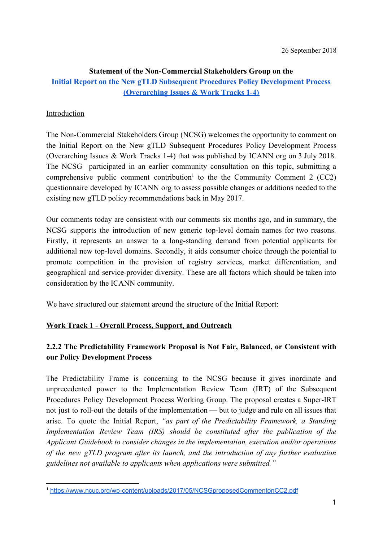# **Statement of the Non-Commercial Stakeholders Group on the [Initial Report on the New gTLD Subsequent Procedures Policy Development Process](https://www.icann.org/public-comments/gtld-subsequent-procedures-initial-2018-07-03-en) [\(Overarching Issues & Work Tracks 1-4\)](https://www.icann.org/public-comments/gtld-subsequent-procedures-initial-2018-07-03-en)**

## Introduction

The Non-Commercial Stakeholders Group (NCSG) welcomes the opportunity to comment on the Initial Report on the New gTLD Subsequent Procedures Policy [Development](https://www.icann.org/public-comments/gtld-subsequent-procedures-initial-2018-07-03-en) Process [\(Overarching](https://www.icann.org/public-comments/gtld-subsequent-procedures-initial-2018-07-03-en) Issues & Work Tracks 1-4) that was published by ICANN org on 3 July 2018. The NCSG participated in an earlier community consultation on this topic, submitting a comprehensive public comment contribution<sup>1</sup> to the the Community Comment 2 (CC2) questionnaire developed by ICANN org to assess possible changes or additions needed to the existing new gTLD policy recommendations back in May 2017.

Our comments today are consistent with our comments six months ago, and in summary, the NCSG supports the introduction of new generic top-level domain names for two reasons. Firstly, it represents an answer to a long-standing demand from potential applicants for additional new top-level domains. Secondly, it aids consumer choice through the potential to promote competition in the provision of registry services, market differentiation, and geographical and service-provider diversity. These are all factors which should be taken into consideration by the ICANN community.

We have structured our statement around the structure of the Initial Report:

## **Work Track 1 - Overall Process, Support, and Outreach**

# **2.2.2 The Predictability Framework Proposal is Not Fair, Balanced, or Consistent with our Policy Development Process**

The Predictability Frame is concerning to the NCSG because it gives inordinate and unprecedented power to the Implementation Review Team (IRT) of the Subsequent Procedures Policy Development Process Working Group. The proposal creates a Super-IRT not just to roll-out the details of the implementation — but to judge and rule on all issues that arise. To quote the Initial Report, *"as part of the Predictability Framework, a Standing Implementation Review Team (IRS) should be constituted after the publication of the Applicant Guidebook to consider changes in the implementation, execution and/or operations of the new gTLD program after its launch, and the introduction of any further evaluation guidelines not available to applicants when applications were submitted."*

<sup>1</sup> <https://www.ncuc.org/wp-content/uploads/2017/05/NCSGproposedCommentonCC2.pdf>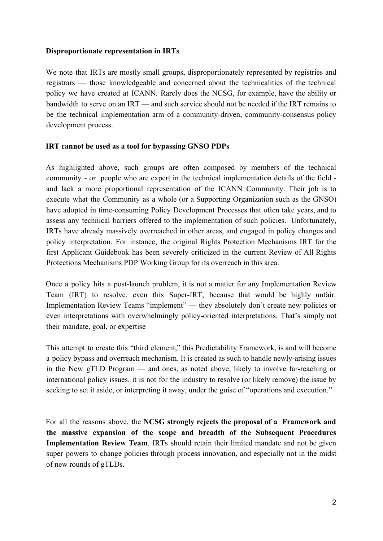### **Disproportionate representation in IRTs**

We note that IRTs are mostly small groups, disproportionately represented by registries and registrars — those knowledgeable and concerned about the technicalities of the technical policy we have created at ICANN. Rarely does the NCSG, for example, have the ability or bandwidth to serve on an IRT — and such service should not be needed if the IRT remains to be the technical implementation arm of a community-driven, community-consensus policy development process.

### **IRT cannot be used as a tool for bypassing GNSO PDPs**

As highlighted above, such groups are often composed by members of the technical community - or people who are expert in the technical implementation details of the field and lack a more proportional representation of the ICANN Community. Their job is to execute what the Community as a whole (or a Supporting Organization such as the GNSO) have adopted in time-consuming Policy Development Processes that often take years, and to assess any technical barriers offered to the implementation of such policies. Unfortunately, IRTs have already massively overreached in other areas, and engaged in policy changes and policy interpretation. For instance, the original Rights Protection Mechanisms IRT for the first Applicant Guidebook has been severely criticized in the current Review of All Rights Protections Mechanisms PDP Working Group for its overreach in this area.

Once a policy hits a post-launch problem, it is not a matter for any Implementation Review Team (IRT) to resolve, even this Super-IRT, because that would be highly unfair. Implementation Review Teams "implement" — they absolutely don't create new policies or even interpretations with overwhelmingly policy-oriented interpretations. That's simply not their mandate, goal, or expertise

This attempt to create this "third element," this Predictability Framework, is and will become a policy bypass and overreach mechanism. It is created as such to handle newly-arising issues in the New gTLD Program — and ones, as noted above, likely to involve far-reaching or international policy issues. it is not for the industry to resolve (or likely remove) the issue by seeking to set it aside, or interpreting it away, under the guise of "operations and execution."

For all the reasons above, the **NCSG strongly rejects the proposal of a Framework and the massive expansion of the scope and breadth of the Subsequent Procedures Implementation Review Team**. IRTs should retain their limited mandate and not be given super powers to change policies through process innovation, and especially not in the midst of new rounds of gTLDs.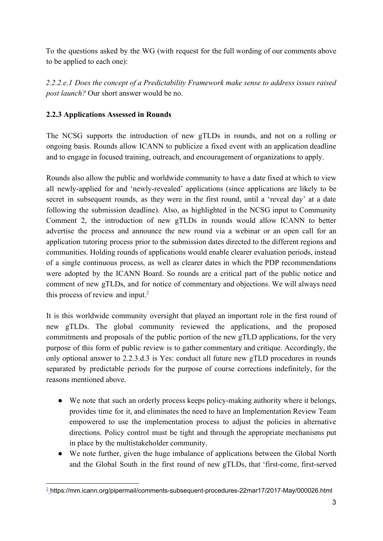To the questions asked by the WG (with request for the full wording of our comments above to be applied to each one):

*2.2.2.e.1 Does the concept of a Predictability Framework make sense to address issues raised post launch?* Our short answer would be no.

# **2.2.3 Applications Assessed in Rounds**

The NCSG supports the introduction of new gTLDs in rounds, and not on a rolling or ongoing basis. Rounds allow ICANN to publicize a fixed event with an application deadline and to engage in focused training, outreach, and encouragement of organizations to apply.

Rounds also allow the public and worldwide community to have a date fixed at which to view all newly-applied for and 'newly-revealed' applications (since applications are likely to be secret in subsequent rounds, as they were in the first round, until a 'reveal day' at a date following the submission deadline). Also, as highlighted in the NCSG input to Community Comment 2, the introduction of new gTLDs in rounds would allow ICANN to better advertise the process and announce the new round via a webinar or an open call for an application tutoring process prior to the submission dates directed to the different regions and communities. Holding rounds of applications would enable clearer evaluation periods, instead of a single continuous process, as well as clearer dates in which the PDP recommendations were adopted by the ICANN Board. So rounds are a critical part of the public notice and comment of new gTLDs, and for notice of commentary and objections. We will always need this process of review and input.<sup>2</sup>

It is this worldwide community oversight that played an important role in the first round of new gTLDs. The global community reviewed the applications, and the proposed commitments and proposals of the public portion of the new gTLD applications, for the very purpose of this form of public review is to gather commentary and critique. Accordingly, the only optional answer to 2.2.3.d.3 is Yes: conduct all future new gTLD procedures in rounds separated by predictable periods for the purpose of course corrections indefinitely, for the reasons mentioned above.

- We note that such an orderly process keeps policy-making authority where it belongs, provides time for it, and eliminates the need to have an Implementation Review Team empowered to use the implementation process to adjust the policies in alternative directions. Policy control must be tight and through the appropriate mechanisms put in place by the multistakeholder community.
- We note further, given the huge imbalance of applications between the Global North and the Global South in the first round of new gTLDs, that 'first-come, first-served

<sup>2</sup> https://mm.icann.org/pipermail/comments-subsequent-procedures-22mar17/2017-May/000026.html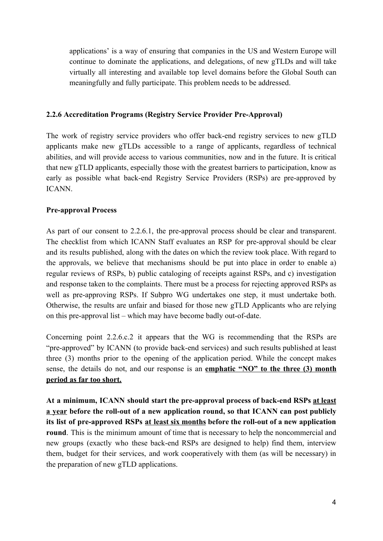applications' is a way of ensuring that companies in the US and Western Europe will continue to dominate the applications, and delegations, of new gTLDs and will take virtually all interesting and available top level domains before the Global South can meaningfully and fully participate. This problem needs to be addressed.

### **2.2.6 Accreditation Programs (Registry Service Provider Pre-Approval)**

The work of registry service providers who offer back-end registry services to new gTLD applicants make new gTLDs accessible to a range of applicants, regardless of technical abilities, and will provide access to various communities, now and in the future. It is critical that new gTLD applicants, especially those with the greatest barriers to participation, know as early as possible what back-end Registry Service Providers (RSPs) are pre-approved by ICANN.

### **Pre-approval Process**

As part of our consent to 2.2.6.1, the pre-approval process should be clear and transparent. The checklist from which ICANN Staff evaluates an RSP for pre-approval should be clear and its results published, along with the dates on which the review took place. With regard to the approvals, we believe that mechanisms should be put into place in order to enable a) regular reviews of RSPs, b) public cataloging of receipts against RSPs, and c) investigation and response taken to the complaints. There must be a process for rejecting approved RSPs as well as pre-approving RSPs. If Subpro WG undertakes one step, it must undertake both. Otherwise, the results are unfair and biased for those new gTLD Applicants who are relying on this pre-approval list – which may have become badly out-of-date.

Concerning point 2.2.6.c.2 it appears that the WG is recommending that the RSPs are "pre-approved" by ICANN (to provide back-end services) and such results published at least three (3) months prior to the opening of the application period. While the concept makes sense, the details do not, and our response is an **emphatic "NO" to the three (3) month period as far too short.**

**At a minimum, ICANN should start the pre-approval process of back-end RSPs at least a year before the roll-out of a new application round, so that ICANN can post publicly its list of pre-approved RSPs at least six months before the roll-out of a new application round**. This is the minimum amount of time that is necessary to help the noncommercial and new groups (exactly who these back-end RSPs are designed to help) find them, interview them, budget for their services, and work cooperatively with them (as will be necessary) in the preparation of new gTLD applications.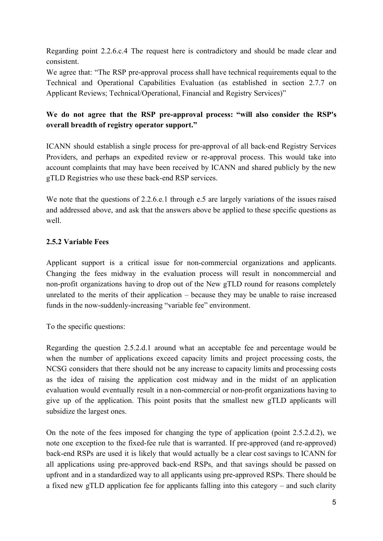Regarding point 2.2.6.c.4 The request here is contradictory and should be made clear and consistent.

We agree that: "The RSP pre-approval process shall have technical requirements equal to the Technical and Operational Capabilities Evaluation (as established in section 2.7.7 on Applicant Reviews; Technical/Operational, Financial and Registry Services)"

# **We do not agree that the RSP pre-approval process: "will also consider the RSP's overall breadth of registry operator support."**

ICANN should establish a single process for pre-approval of all back-end Registry Services Providers, and perhaps an expedited review or re-approval process. This would take into account complaints that may have been received by ICANN and shared publicly by the new gTLD Registries who use these back-end RSP services.

We note that the questions of 2.2.6.e.1 through e.5 are largely variations of the issues raised and addressed above, and ask that the answers above be applied to these specific questions as well.

## **2.5.2 Variable Fees**

Applicant support is a critical issue for non-commercial organizations and applicants. Changing the fees midway in the evaluation process will result in noncommercial and non-profit organizations having to drop out of the New gTLD round for reasons completely unrelated to the merits of their application – because they may be unable to raise increased funds in the now-suddenly-increasing "variable fee" environment.

To the specific questions:

Regarding the question 2.5.2.d.1 around what an acceptable fee and percentage would be when the number of applications exceed capacity limits and project processing costs, the NCSG considers that there should not be any increase to capacity limits and processing costs as the idea of raising the application cost midway and in the midst of an application evaluation would eventually result in a non-commercial or non-profit organizations having to give up of the application. This point posits that the smallest new gTLD applicants will subsidize the largest ones.

On the note of the fees imposed for changing the type of application (point 2.5.2.d.2), we note one exception to the fixed-fee rule that is warranted. If pre-approved (and re-approved) back-end RSPs are used it is likely that would actually be a clear cost savings to ICANN for all applications using pre-approved back-end RSPs, and that savings should be passed on upfront and in a standardized way to all applicants using pre-approved RSPs. There should be a fixed new gTLD application fee for applicants falling into this category – and such clarity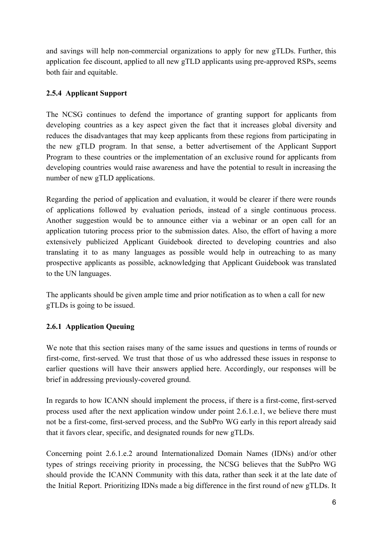and savings will help non-commercial organizations to apply for new gTLDs. Further, this application fee discount, applied to all new gTLD applicants using pre-approved RSPs, seems both fair and equitable.

# **2.5.4 Applicant Support**

The NCSG continues to defend the importance of granting support for applicants from developing countries as a key aspect given the fact that it increases global diversity and reduces the disadvantages that may keep applicants from these regions from participating in the new gTLD program. In that sense, a better advertisement of the Applicant Support Program to these countries or the implementation of an exclusive round for applicants from developing countries would raise awareness and have the potential to result in increasing the number of new gTLD applications.

Regarding the period of application and evaluation, it would be clearer if there were rounds of applications followed by evaluation periods, instead of a single continuous process. Another suggestion would be to announce either via a webinar or an open call for an application tutoring process prior to the submission dates. Also, the effort of having a more extensively publicized Applicant Guidebook directed to developing countries and also translating it to as many languages as possible would help in outreaching to as many prospective applicants as possible, acknowledging that Applicant Guidebook was translated to the UN languages.

The applicants should be given ample time and prior notification as to when a call for new gTLDs is going to be issued.

## **2.6.1 Application Queuing**

We note that this section raises many of the same issues and questions in terms of rounds or first-come, first-served. We trust that those of us who addressed these issues in response to earlier questions will have their answers applied here. Accordingly, our responses will be brief in addressing previously-covered ground.

In regards to how ICANN should implement the process, if there is a first-come, first-served process used after the next application window under point 2.6.1.e.1, we believe there must not be a first-come, first-served process, and the SubPro WG early in this report already said that it favors clear, specific, and designated rounds for new gTLDs.

Concerning point 2.6.1.e.2 around Internationalized Domain Names (IDNs) and/or other types of strings receiving priority in processing, the NCSG believes that the SubPro WG should provide the ICANN Community with this data, rather than seek it at the late date of the Initial Report. Prioritizing IDNs made a big difference in the first round of new gTLDs. It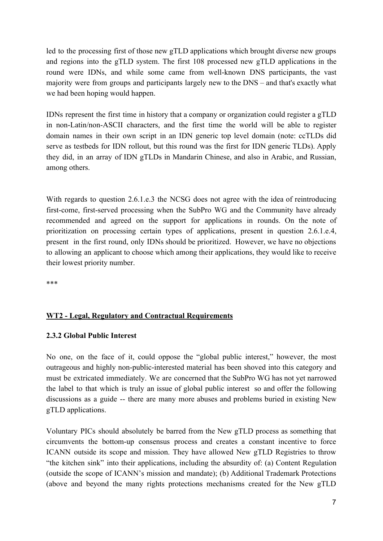led to the processing first of those new gTLD applications which brought diverse new groups and regions into the gTLD system. The first 108 processed new gTLD applications in the round were IDNs, and while some came from well-known DNS participants, the vast majority were from groups and participants largely new to the DNS – and that's exactly what we had been hoping would happen.

IDNs represent the first time in history that a company or organization could register a gTLD in non-Latin/non-ASCII characters, and the first time the world will be able to register domain names in their own script in an IDN generic top level domain (note: ccTLDs did serve as testbeds for IDN rollout, but this round was the first for IDN generic TLDs). Apply they did, in an array of IDN gTLDs in Mandarin Chinese, and also in Arabic, and Russian, among others.

With regards to question 2.6.1.e.3 the NCSG does not agree with the idea of reintroducing first-come, first-served processing when the SubPro WG and the Community have already recommended and agreed on the support for applications in rounds. On the note of prioritization on processing certain types of applications, present in question 2.6.1.e.4, present in the first round, only IDNs should be prioritized. However, we have no objections to allowing an applicant to choose which among their applications, they would like to receive their lowest priority number.

\*\*\*

### **WT2 - Legal, Regulatory and Contractual Requirements**

#### **2.3.2 Global Public Interest**

No one, on the face of it, could oppose the "global public interest," however, the most outrageous and highly non-public-interested material has been shoved into this category and must be extricated immediately. We are concerned that the SubPro WG has not yet narrowed the label to that which is truly an issue of global public interest so and offer the following discussions as a guide -- there are many more abuses and problems buried in existing New gTLD applications.

Voluntary PICs should absolutely be barred from the New gTLD process as something that circumvents the bottom-up consensus process and creates a constant incentive to force ICANN outside its scope and mission. They have allowed New gTLD Registries to throw "the kitchen sink" into their applications, including the absurdity of: (a) Content Regulation (outside the scope of ICANN's mission and mandate); (b) Additional Trademark Protections (above and beyond the many rights protections mechanisms created for the New gTLD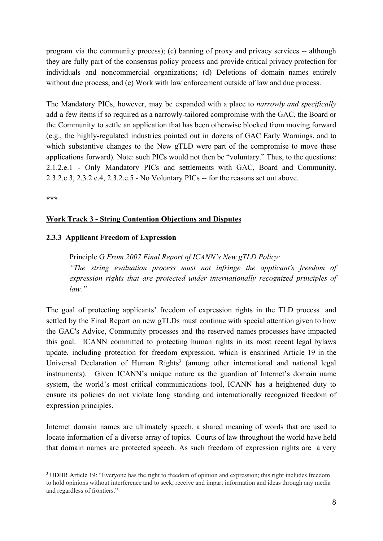program via the community process); (c) banning of proxy and privacy services -- although they are fully part of the consensus policy process and provide critical privacy protection for individuals and noncommercial organizations; (d) Deletions of domain names entirely without due process; and (e) Work with law enforcement outside of law and due process.

The Mandatory PICs, however, may be expanded with a place to *narrowly and specifically* add a few items if so required as a narrowly-tailored compromise with the GAC, the Board or the Community to settle an application that has been otherwise blocked from moving forward (e.g., the highly-regulated industries pointed out in dozens of GAC Early Warnings, and to which substantive changes to the New gTLD were part of the compromise to move these applications forward). Note: such PICs would not then be "voluntary." Thus, to the questions: 2.1.2.e.1 - Only Mandatory PICs and settlements with GAC, Board and Community. 2.3.2.c.3, 2.3.2.c.4, 2.3.2.e.5 - No Voluntary PICs -- for the reasons set out above.

**\*\*\***

#### **Work Track 3 - String Contention Objections and Disputes**

#### **2.3.3 Applicant Freedom of Expression**

Principle G *From 2007 Final Report of ICANN's New gTLD Policy: "The string evaluation process must not infringe the applicant's freedom of expression rights that are protected under internationally recognized principles of law."*

The goal of protecting applicants' freedom of expression rights in the TLD process and settled by the Final Report on new gTLDs must continue with special attention given to how the GAC's Advice, Community processes and the reserved names processes have impacted this goal. ICANN committed to protecting human rights in its most recent legal bylaws update, including protection for freedom expression, which is enshrined Article 19 in the Universal Declaration of Human Rights<sup>3</sup> (among other international and national legal instruments). Given ICANN's unique nature as the guardian of Internet's domain name system, the world's most critical communications tool, ICANN has a heightened duty to ensure its policies do not violate long standing and internationally recognized freedom of expression principles.

Internet domain names are ultimately speech, a shared meaning of words that are used to locate information of a diverse array of topics. Courts of law throughout the world have held that domain names are protected speech. As such freedom of expression rights are a very

<sup>3</sup> UDHR Article 19: "Everyone has the right to freedom of opinion and expression; this right includes freedom to hold opinions without interference and to seek, receive and impart information and ideas through any media and regardless of frontiers."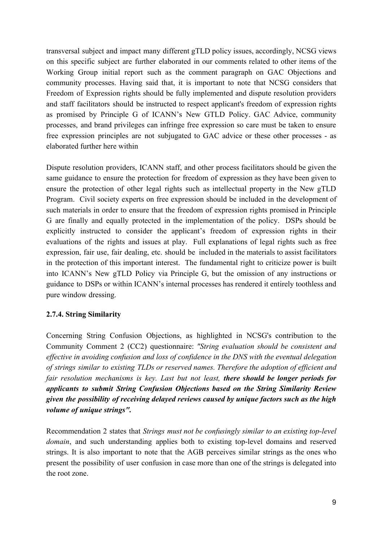transversal subject and impact many different gTLD policy issues, accordingly, NCSG views on this specific subject are further elaborated in our comments related to other items of the Working Group initial report such as the comment paragraph on GAC Objections and community processes. Having said that, it is important to note that NCSG considers that Freedom of Expression rights should be fully implemented and dispute resolution providers and staff facilitators should be instructed to respect applicant's freedom of expression rights as promised by Principle G of ICANN's New GTLD Policy. GAC Advice, community processes, and brand privileges can infringe free expression so care must be taken to ensure free expression principles are not subjugated to GAC advice or these other processes - as elaborated further here within

Dispute resolution providers, ICANN staff, and other process facilitators should be given the same guidance to ensure the protection for freedom of expression as they have been given to ensure the protection of other legal rights such as intellectual property in the New gTLD Program. Civil society experts on free expression should be included in the development of such materials in order to ensure that the freedom of expression rights promised in Principle G are finally and equally protected in the implementation of the policy. DSPs should be explicitly instructed to consider the applicant's freedom of expression rights in their evaluations of the rights and issues at play. Full explanations of legal rights such as free expression, fair use, fair dealing, etc. should be included in the materials to assist facilitators in the protection of this important interest. The fundamental right to criticize power is built into ICANN's New gTLD Policy via Principle G, but the omission of any instructions or guidance to DSPs or within ICANN's internal processes has rendered it entirely toothless and pure window dressing.

## **2.7.4. String Similarity**

Concerning String Confusion Objections, as highlighted in NCSG's contribution to the Community Comment 2 (CC2) questionnaire: *"String evaluation should be consistent and effective in avoiding confusion and loss of confidence in the DNS with the eventual delegation of strings similar to existing TLDs or reserved names. Therefore the adoption of efficient and fair resolution mechanisms is key. Last but not least, there should be longer periods for applicants to submit String Confusion Objections based on the String Similarity Review given the possibility of receiving delayed reviews caused by unique factors such as the high volume of unique strings".*

Recommendation 2 states that *Strings must not be confusingly similar to an existing top-level domain*, and such understanding applies both to existing top-level domains and reserved strings. It is also important to note that the AGB perceives similar strings as the ones who present the possibility of user confusion in case more than one of the strings is delegated into the root zone.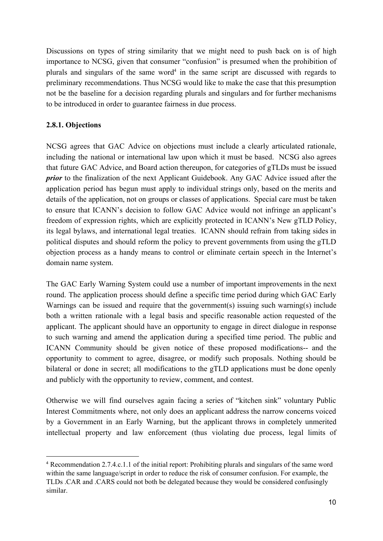Discussions on types of string similarity that we might need to push back on is of high importance to NCSG, given that consumer "confusion" is presumed when the prohibition of plurals and singulars of the same word<sup>4</sup> in the same script are discussed with regards to preliminary recommendations. Thus NCSG would like to make the case that this presumption not be the baseline for a decision regarding plurals and singulars and for further mechanisms to be introduced in order to guarantee fairness in due process.

## **2.8.1. Objections**

NCSG agrees that GAC Advice on objections must include a clearly articulated rationale, including the national or international law upon which it must be based. NCSG also agrees that future GAC Advice, and Board action thereupon, for categories of gTLDs must be issued *prior* to the finalization of the next Applicant Guidebook. Any GAC Advice issued after the application period has begun must apply to individual strings only, based on the merits and details of the application, not on groups or classes of applications. Special care must be taken to ensure that ICANN's decision to follow GAC Advice would not infringe an applicant's freedom of expression rights, which are explicitly protected in ICANN's New gTLD Policy, its legal bylaws, and international legal treaties. ICANN should refrain from taking sides in political disputes and should reform the policy to prevent governments from using the gTLD objection process as a handy means to control or eliminate certain speech in the Internet's domain name system.

The GAC Early Warning System could use a number of important improvements in the next round. The application process should define a specific time period during which GAC Early Warnings can be issued and require that the government(s) issuing such warning(s) include both a written rationale with a legal basis and specific reasonable action requested of the applicant. The applicant should have an opportunity to engage in direct dialogue in response to such warning and amend the application during a specified time period. The public and ICANN Community should be given notice of these proposed modifications-- and the opportunity to comment to agree, disagree, or modify such proposals. Nothing should be bilateral or done in secret; all modifications to the gTLD applications must be done openly and publicly with the opportunity to review, comment, and contest.

Otherwise we will find ourselves again facing a series of "kitchen sink" voluntary Public Interest Commitments where, not only does an applicant address the narrow concerns voiced by a Government in an Early Warning, but the applicant throws in completely unmerited intellectual property and law enforcement (thus violating due process, legal limits of

<sup>4</sup> Recommendation 2.7.4.c.1.1 of the initial report: Prohibiting plurals and singulars of the same word within the same language/script in order to reduce the risk of consumer confusion. For example, the TLDs .CAR and .CARS could not both be delegated because they would be considered confusingly similar.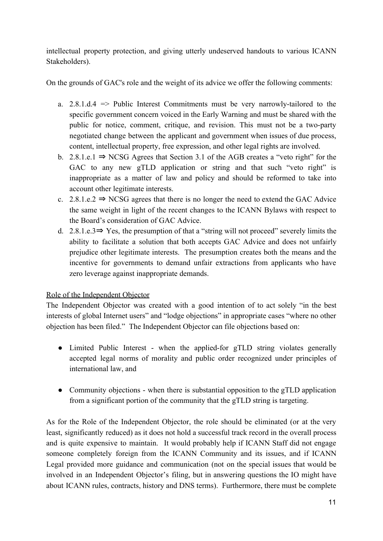intellectual property protection, and giving utterly undeserved handouts to various ICANN Stakeholders).

On the grounds of GAC's role and the weight of its advice we offer the following comments:

- a.  $2.8.1.d.4$  => Public Interest Commitments must be very narrowly-tailored to the specific government concern voiced in the Early Warning and must be shared with the public for notice, comment, critique, and revision. This must not be a two-party negotiated change between the applicant and government when issues of due process, content, intellectual property, free expression, and other legal rights are involved.
- b. 2.8.1.e.1  $\Rightarrow$  NCSG Agrees that Section 3.1 of the AGB creates a "veto right" for the GAC to any new gTLD application or string and that such "veto right" is inappropriate as a matter of law and policy and should be reformed to take into account other legitimate interests.
- c. 2.8.1.e.2  $\Rightarrow$  NCSG agrees that there is no longer the need to extend the GAC Advice the same weight in light of the recent changes to the ICANN Bylaws with respect to the Board's consideration of GAC Advice.
- d. 2.8.1.e.3⇒ Yes, the presumption of that a "string will not proceed" severely limits the ability to facilitate a solution that both accepts GAC Advice and does not unfairly prejudice other legitimate interests. The presumption creates both the means and the incentive for governments to demand unfair extractions from applicants who have zero leverage against inappropriate demands.

# Role of the Independent Objector

The Independent Objector was created with a good intention of to act solely "in the best interests of global Internet users" and "lodge objections" in appropriate cases "where no other objection has been filed." The Independent Objector can file objections based on:

- Limited Public Interest when the applied-for gTLD string violates generally accepted legal norms of morality and public order recognized under principles of international law, and
- Community objections when there is substantial opposition to the gTLD application from a significant portion of the community that the gTLD string is targeting.

As for the Role of the Independent Objector, the role should be eliminated (or at the very least, significantly reduced) as it does not hold a successful track record in the overall process and is quite expensive to maintain. It would probably help if ICANN Staff did not engage someone completely foreign from the ICANN Community and its issues, and if ICANN Legal provided more guidance and communication (not on the special issues that would be involved in an Independent Objector's filing, but in answering questions the IO might have about ICANN rules, contracts, history and DNS terms). Furthermore, there must be complete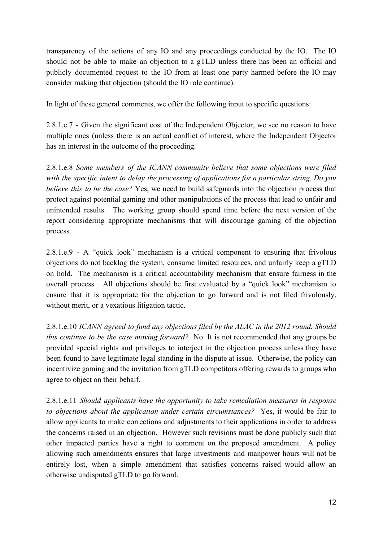transparency of the actions of any IO and any proceedings conducted by the IO. The IO should not be able to make an objection to a gTLD unless there has been an official and publicly documented request to the IO from at least one party harmed before the IO may consider making that objection (should the IO role continue).

In light of these general comments, we offer the following input to specific questions:

2.8.1.e.7 - Given the significant cost of the Independent Objector, we see no reason to have multiple ones (unless there is an actual conflict of interest, where the Independent Objector has an interest in the outcome of the proceeding.

2.8.1.e.8 *Some members of the ICANN community believe that some objections were filed with the specific intent to delay the processing of applications for a particular string. Do you believe this to be the case?* Yes, we need to build safeguards into the objection process that protect against potential gaming and other manipulations of the process that lead to unfair and unintended results. The working group should spend time before the next version of the report considering appropriate mechanisms that will discourage gaming of the objection process.

2.8.1.e.9 - A "quick look" mechanism is a critical component to ensuring that frivolous objections do not backlog the system, consume limited resources, and unfairly keep a gTLD on hold. The mechanism is a critical accountability mechanism that ensure fairness in the overall process. All objections should be first evaluated by a "quick look" mechanism to ensure that it is appropriate for the objection to go forward and is not filed frivolously, without merit, or a vexatious litigation tactic.

2.8.1.e.10 *ICANN agreed to fund any objections filed by the ALAC in the 2012 round. Should this continue to be the case moving forward?* No. It is not recommended that any groups be provided special rights and privileges to interject in the objection process unless they have been found to have legitimate legal standing in the dispute at issue. Otherwise, the policy can incentivize gaming and the invitation from gTLD competitors offering rewards to groups who agree to object on their behalf.

2.8.1.e.11 *Should applicants have the opportunity to take remediation measures in response to objections about the application under certain circumstances?* Yes, it would be fair to allow applicants to make corrections and adjustments to their applications in order to address the concerns raised in an objection. However such revisions must be done publicly such that other impacted parties have a right to comment on the proposed amendment. A policy allowing such amendments ensures that large investments and manpower hours will not be entirely lost, when a simple amendment that satisfies concerns raised would allow an otherwise undisputed gTLD to go forward.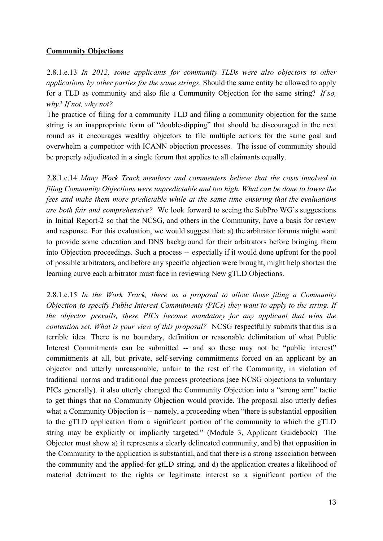### **Community Objections**

2.8.1.e.13 *In 2012, some applicants for community TLDs were also objectors to other applications by other parties for the same strings.* Should the same entity be allowed to apply for a TLD as community and also file a Community Objection for the same string? *If so, why? If not, why not?*

The practice of filing for a community TLD and filing a community objection for the same string is an inappropriate form of "double-dipping" that should be discouraged in the next round as it encourages wealthy objectors to file multiple actions for the same goal and overwhelm a competitor with ICANN objection processes. The issue of community should be properly adjudicated in a single forum that applies to all claimants equally.

2.8.1.e.14 *Many Work Track members and commenters believe that the costs involved in filing Community Objections were unpredictable and too high. What can be done to lower the fees and make them more predictable while at the same time ensuring that the evaluations are both fair and comprehensive?* We look forward to seeing the SubPro WG's suggestions in Initial Report-2 so that the NCSG, and others in the Community, have a basis for review and response. For this evaluation, we would suggest that: a) the arbitrator forums might want to provide some education and DNS background for their arbitrators before bringing them into Objection proceedings. Such a process -- especially if it would done upfront for the pool of possible arbitrators, and before any specific objection were brought, might help shorten the learning curve each arbitrator must face in reviewing New gTLD Objections.

2.8.1.e.15 *In the Work Track, there as a proposal to allow those filing a Community Objection to specify Public Interest Commitments (PICs) they want to apply to the string. If the objector prevails, these PICs become mandatory for any applicant that wins the contention set. What is your view of this proposal?* NCSG respectfully submits that this is a terrible idea. There is no boundary, definition or reasonable delimitation of what Public Interest Commitments can be submitted -- and so these may not be "public interest" commitments at all, but private, self-serving commitments forced on an applicant by an objector and utterly unreasonable, unfair to the rest of the Community, in violation of traditional norms and traditional due process protections (see NCSG objections to voluntary PICs generally). it also utterly changed the Community Objection into a "strong arm" tactic to get things that no Community Objection would provide. The proposal also utterly defies what a Community Objection is -- namely, a proceeding when "there is substantial opposition to the gTLD application from a significant portion of the community to which the gTLD string may be explicitly or implicitly targeted." (Module 3, Applicant Guidebook) The Objector must show a) it represents a clearly delineated community, and b) that opposition in the Community to the application is substantial, and that there is a strong association between the community and the applied-for gtLD string, and d) the application creates a likelihood of material detriment to the rights or legitimate interest so a significant portion of the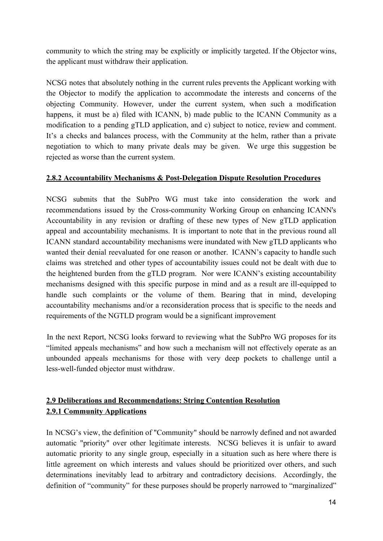community to which the string may be explicitly or implicitly targeted. If the Objector wins, the applicant must withdraw their application.

NCSG notes that absolutely nothing in the current rules prevents the Applicant working with the Objector to modify the application to accommodate the interests and concerns of the objecting Community. However, under the current system, when such a modification happens, it must be a) filed with ICANN, b) made public to the ICANN Community as a modification to a pending gTLD application, and c) subject to notice, review and comment. It's a checks and balances process, with the Community at the helm, rather than a private negotiation to which to many private deals may be given. We urge this suggestion be rejected as worse than the current system.

## **2.8.2 Accountability Mechanisms & Post-Delegation Dispute Resolution Procedures**

NCSG submits that the SubPro WG must take into consideration the work and recommendations issued by the Cross-community Working Group on enhancing ICANN's Accountability in any revision or drafting of these new types of New gTLD application appeal and accountability mechanisms. It is important to note that in the previous round all ICANN standard accountability mechanisms were inundated with New gTLD applicants who wanted their denial reevaluated for one reason or another. ICANN's capacity to handle such claims was stretched and other types of accountability issues could not be dealt with due to the heightened burden from the gTLD program. Nor were ICANN's existing accountability mechanisms designed with this specific purpose in mind and as a result are ill-equipped to handle such complaints or the volume of them. Bearing that in mind, developing accountability mechanisms and/or a reconsideration process that is specific to the needs and requirements of the NGTLD program would be a significant improvement

In the next Report, NCSG looks forward to reviewing what the SubPro WG proposes for its "limited appeals mechanisms" and how such a mechanism will not effectively operate as an unbounded appeals mechanisms for those with very deep pockets to challenge until a less-well-funded objector must withdraw.

# **2.9 Deliberations and Recommendations: String Contention Resolution 2.9.1 Community Applications**

In NCSG's view, the definition of "Community" should be narrowly defined and not awarded automatic "priority" over other legitimate interests. NCSG believes it is unfair to award automatic priority to any single group, especially in a situation such as here where there is little agreement on which interests and values should be prioritized over others, and such determinations inevitably lead to arbitrary and contradictory decisions. Accordingly, the definition of "community" for these purposes should be properly narrowed to "marginalized"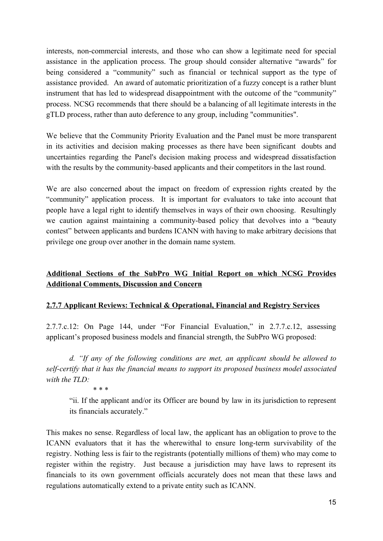interests, non-commercial interests, and those who can show a legitimate need for special assistance in the application process. The group should consider alternative "awards" for being considered a "community" such as financial or technical support as the type of assistance provided. An award of automatic prioritization of a fuzzy concept is a rather blunt instrument that has led to widespread disappointment with the outcome of the "community" process. NCSG recommends that there should be a balancing of all legitimate interests in the gTLD process, rather than auto deference to any group, including "communities".

We believe that the Community Priority Evaluation and the Panel must be more transparent in its activities and decision making processes as there have been significant doubts and uncertainties regarding the Panel's decision making process and widespread dissatisfaction with the results by the community-based applicants and their competitors in the last round.

We are also concerned about the impact on freedom of expression rights created by the "community" application process. It is important for evaluators to take into account that people have a legal right to identify themselves in ways of their own choosing. Resultingly we caution against maintaining a community-based policy that devolves into a "beauty contest" between applicants and burdens ICANN with having to make arbitrary decisions that privilege one group over another in the domain name system.

# **Additional Sections of the SubPro WG Initial Report on which NCSG Provides Additional Comments, Discussion and Concern**

## **2.7.7 Applicant Reviews: Technical & Operational, Financial and Registry Services**

2.7.7.c.12: On Page 144, under "For Financial Evaluation," in 2.7.7.c.12, assessing applicant's proposed business models and financial strength, the SubPro WG proposed:

*d. "If any of the following conditions are met, an applicant should be allowed to self-certify that it has the financial means to support its proposed business model associated with the TLD:*

*\* \* \**

"ii. If the applicant and/or its Officer are bound by law in its jurisdiction to represent its financials accurately."

This makes no sense. Regardless of local law, the applicant has an obligation to prove to the ICANN evaluators that it has the wherewithal to ensure long-term survivability of the registry. Nothing less is fair to the registrants (potentially millions of them) who may come to register within the registry. Just because a jurisdiction may have laws to represent its financials to its own government officials accurately does not mean that these laws and regulations automatically extend to a private entity such as ICANN.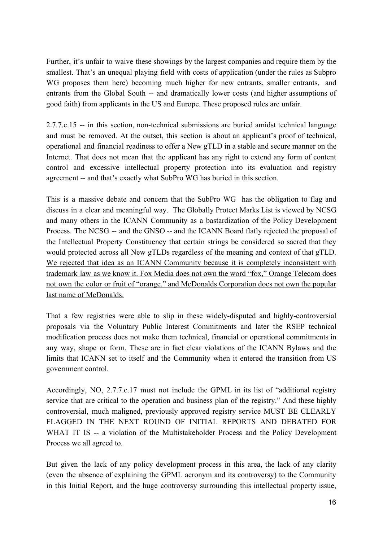Further, it's unfair to waive these showings by the largest companies and require them by the smallest. That's an unequal playing field with costs of application (under the rules as Subpro WG proposes them here) becoming much higher for new entrants, smaller entrants, and entrants from the Global South -- and dramatically lower costs (and higher assumptions of good faith) from applicants in the US and Europe. These proposed rules are unfair.

2.7.7.c.15 -- in this section, non-technical submissions are buried amidst technical language and must be removed. At the outset, this section is about an applicant's proof of technical, operational and financial readiness to offer a New gTLD in a stable and secure manner on the Internet. That does not mean that the applicant has any right to extend any form of content control and excessive intellectual property protection into its evaluation and registry agreement -- and that's exactly what SubPro WG has buried in this section.

This is a massive debate and concern that the SubPro WG has the obligation to flag and discuss in a clear and meaningful way. The Globally Protect Marks List is viewed by NCSG and many others in the ICANN Community as a bastardization of the Policy Development Process. The NCSG -- and the GNSO -- and the ICANN Board flatly rejected the proposal of the Intellectual Property Constituency that certain strings be considered so sacred that they would protected across all New gTLDs regardless of the meaning and context of that gTLD. We rejected that idea as an ICANN Community because it is completely inconsistent with trademark law as we know it. Fox Media does not own the word "fox," Orange Telecom does not own the color or fruit of "orange," and McDonalds Corporation does not own the popular last name of McDonalds.

That a few registries were able to slip in these widely-disputed and highly-controversial proposals via the Voluntary Public Interest Commitments and later the RSEP technical modification process does not make them technical, financial or operational commitments in any way, shape or form. These are in fact clear violations of the ICANN Bylaws and the limits that ICANN set to itself and the Community when it entered the transition from US government control.

Accordingly, NO, 2.7.7.c.17 must not include the GPML in its list of "additional registry service that are critical to the operation and business plan of the registry." And these highly controversial, much maligned, previously approved registry service MUST BE CLEARLY FLAGGED IN THE NEXT ROUND OF INITIAL REPORTS AND DEBATED FOR WHAT IT IS -- a violation of the Multistakeholder Process and the Policy Development Process we all agreed to.

But given the lack of any policy development process in this area, the lack of any clarity (even the absence of explaining the GPML acronym and its controversy) to the Community in this Initial Report, and the huge controversy surrounding this intellectual property issue,